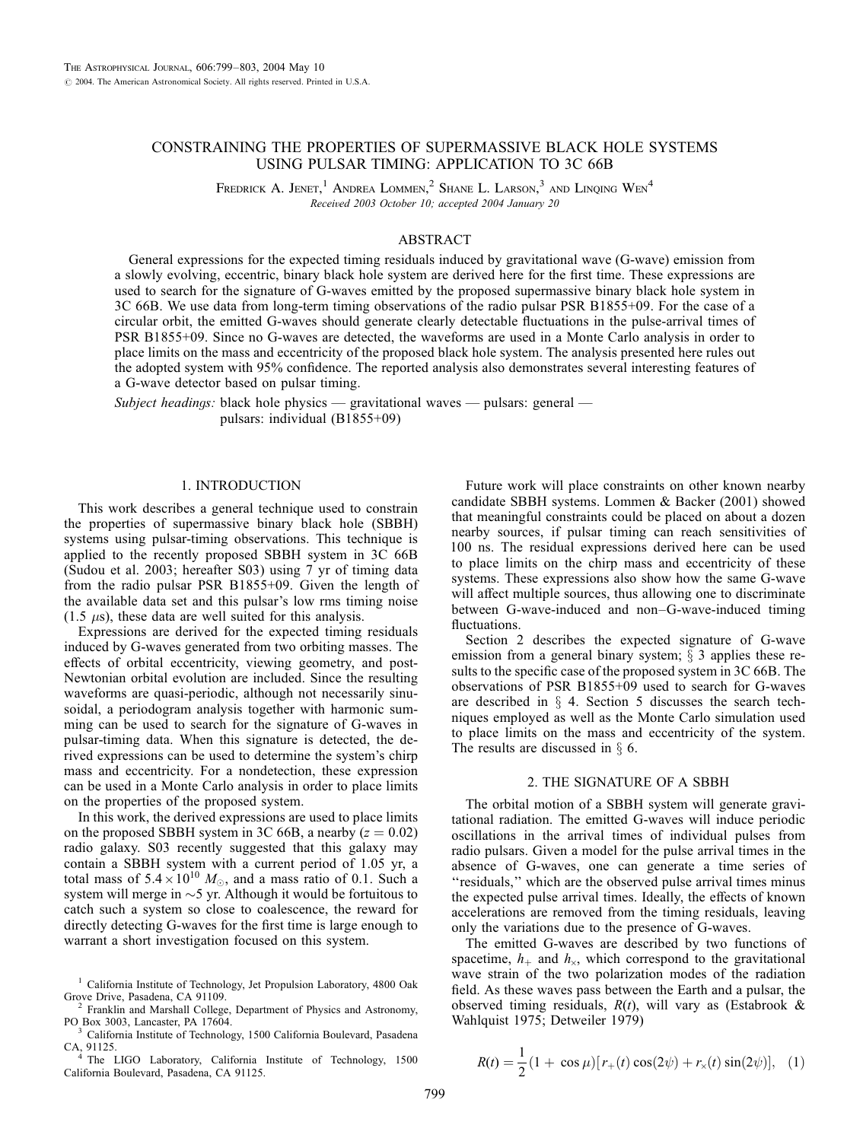# CONSTRAINING THE PROPERTIES OF SUPERMASSIVE BLACK HOLE SYSTEMS USING PULSAR TIMING: APPLICATION TO 3C 66B

FREDRICK A. JENET,<sup>1</sup> ANDREA LOMMEN,<sup>2</sup> SHANE L. LARSON,<sup>3</sup> AND LINQING  $W_{EN}^4$ Received 2003 October 10; accepted 2004 January 20

## ABSTRACT

General expressions for the expected timing residuals induced by gravitational wave (G-wave) emission from a slowly evolving, eccentric, binary black hole system are derived here for the first time. These expressions are used to search for the signature of G-waves emitted by the proposed supermassive binary black hole system in 3C 66B. We use data from long-term timing observations of the radio pulsar PSR B1855+09. For the case of a circular orbit, the emitted G-waves should generate clearly detectable fluctuations in the pulse-arrival times of PSR B1855+09. Since no G-waves are detected, the waveforms are used in a Monte Carlo analysis in order to place limits on the mass and eccentricity of the proposed black hole system. The analysis presented here rules out the adopted system with 95% confidence. The reported analysis also demonstrates several interesting features of a G-wave detector based on pulsar timing.

Subject headings: black hole physics — gravitational waves — pulsars: general pulsars: individual (B1855+09)

## 1. INTRODUCTION

This work describes a general technique used to constrain the properties of supermassive binary black hole (SBBH) systems using pulsar-timing observations. This technique is applied to the recently proposed SBBH system in 3C 66B (Sudou et al. 2003; hereafter S03) using 7 yr of timing data from the radio pulsar PSR B1855+09. Given the length of the available data set and this pulsar's low rms timing noise  $(1.5 \mu s)$ , these data are well suited for this analysis.

Expressions are derived for the expected timing residuals induced by G-waves generated from two orbiting masses. The effects of orbital eccentricity, viewing geometry, and post-Newtonian orbital evolution are included. Since the resulting waveforms are quasi-periodic, although not necessarily sinusoidal, a periodogram analysis together with harmonic summing can be used to search for the signature of G-waves in pulsar-timing data. When this signature is detected, the derived expressions can be used to determine the system's chirp mass and eccentricity. For a nondetection, these expression can be used in a Monte Carlo analysis in order to place limits on the properties of the proposed system.

In this work, the derived expressions are used to place limits on the proposed SBBH system in 3C 66B, a nearby  $(z = 0.02)$ radio galaxy. S03 recently suggested that this galaxy may contain a SBBH system with a current period of 1.05 yr, a total mass of  $5.4 \times 10^{10}$  M<sub>o</sub>, and a mass ratio of 0.1. Such a system will merge in  $\sim$ 5 yr. Although it would be fortuitous to catch such a system so close to coalescence, the reward for directly detecting G-waves for the first time is large enough to warrant a short investigation focused on this system.

<sup>3</sup> California Institute of Technology, 1500 California Boulevard, Pasadena CA, 91125. <sup>4</sup> The LIGO Laboratory, California Institute of Technology, 1500

California Boulevard, Pasadena, CA 91125.

Future work will place constraints on other known nearby candidate SBBH systems. Lommen & Backer (2001) showed that meaningful constraints could be placed on about a dozen nearby sources, if pulsar timing can reach sensitivities of 100 ns. The residual expressions derived here can be used to place limits on the chirp mass and eccentricity of these systems. These expressions also show how the same G-wave will affect multiple sources, thus allowing one to discriminate between G-wave-induced and non–G-wave-induced timing fluctuations.

Section 2 describes the expected signature of G-wave emission from a general binary system;  $\S$  3 applies these results to the specific case of the proposed system in 3C 66B. The observations of PSR B1855+09 used to search for G-waves are described in  $\S$  4. Section 5 discusses the search techniques employed as well as the Monte Carlo simulation used to place limits on the mass and eccentricity of the system. The results are discussed in  $\S$  6.

### 2. THE SIGNATURE OF A SBBH

The orbital motion of a SBBH system will generate gravitational radiation. The emitted G-waves will induce periodic oscillations in the arrival times of individual pulses from radio pulsars. Given a model for the pulse arrival times in the absence of G-waves, one can generate a time series of ''residuals,'' which are the observed pulse arrival times minus the expected pulse arrival times. Ideally, the effects of known accelerations are removed from the timing residuals, leaving only the variations due to the presence of G-waves.

The emitted G-waves are described by two functions of spacetime,  $h_{+}$  and  $h_{\times}$ , which correspond to the gravitational wave strain of the two polarization modes of the radiation field. As these waves pass between the Earth and a pulsar, the observed timing residuals,  $R(t)$ , will vary as (Estabrook & Wahlquist 1975; Detweiler 1979)

$$
R(t) = \frac{1}{2} (1 + \cos \mu) [r_{+}(t) \cos(2\psi) + r_{\times}(t) \sin(2\psi)], \quad (1)
$$

<sup>&</sup>lt;sup>1</sup> California Institute of Technology, Jet Propulsion Laboratory, 4800 Oak Grove Drive, Pasadena, CA 91109.

 $^2$  Franklin and Marshall College, Department of Physics and Astronomy, PO Box 3003, Lancaster, PA 17604.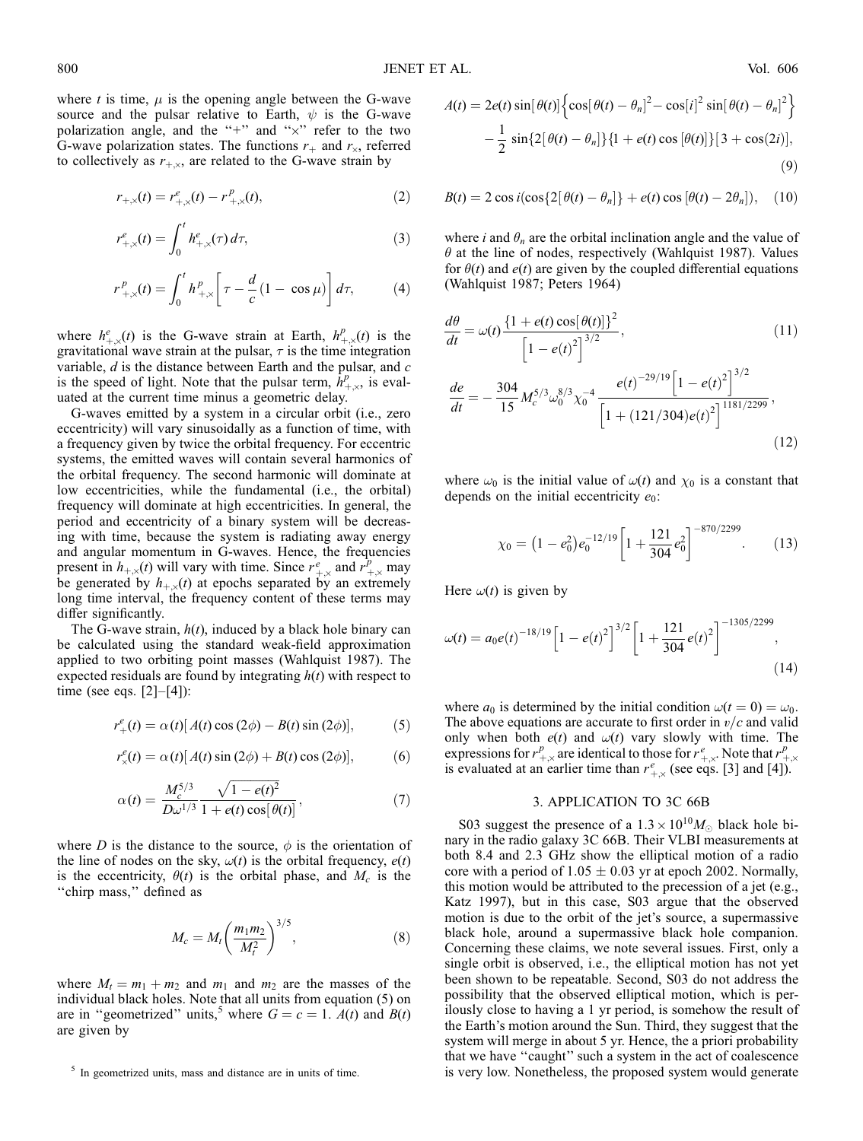$$
r_{+,\times}(t) = r_{+,\times}^e(t) - r_{+,\times}^p(t),\tag{2}
$$

$$
r_{+,\times}^e(t) = \int_0^t h_{+,\times}^e(\tau) \, d\tau,\tag{3}
$$

$$
r^{p}_{+,\times}(t) = \int_{0}^{t} h^{p}_{+,\times} \left[ \tau - \frac{d}{c} (1 - \cos \mu) \right] d\tau, \tag{4}
$$

where  $h_{+\times}^e(t)$  is the G-wave strain at Earth,  $h_{+\times}^p(t)$  is the gravitational wave strain at the pulsar,  $\tau$  is the time integration variable,  $d$  is the distance between Earth and the pulsar, and  $c$ is the speed of light. Note that the pulsar term,  $\hat{h}^p_{+,\times}$ , is evaluated at the current time minus a geometric delay.

G-waves emitted by a system in a circular orbit (i.e., zero eccentricity) will vary sinusoidally as a function of time, with a frequency given by twice the orbital frequency. For eccentric systems, the emitted waves will contain several harmonics of the orbital frequency. The second harmonic will dominate at low eccentricities, while the fundamental (i.e., the orbital) frequency will dominate at high eccentricities. In general, the period and eccentricity of a binary system will be decreasing with time, because the system is radiating away energy and angular momentum in G-waves. Hence, the frequencies present in  $h_{+,\times}(t)$  will vary with time. Since  $r_{+,\times}^e$  and  $r_{+,\times}^p$  may be generated by  $h_{+x}(t)$  at epochs separated by an extremely long time interval, the frequency content of these terms may differ significantly.

The G-wave strain,  $h(t)$ , induced by a black hole binary can be calculated using the standard weak-field approximation applied to two orbiting point masses (Wahlquist 1987). The expected residuals are found by integrating  $h(t)$  with respect to time (see eqs.  $[2]-[4]$ ):

$$
r_{+}^{e}(t) = \alpha(t) [A(t) \cos(2\phi) - B(t) \sin(2\phi)],
$$
 (5)

$$
r_x^e(t) = \alpha(t) [A(t) \sin(2\phi) + B(t) \cos(2\phi)], \qquad (6)
$$

$$
\alpha(t) = \frac{M_c^{5/3}}{D\omega^{1/3}} \frac{\sqrt{1 - e(t)^2}}{1 + e(t) \cos[\theta(t)]},
$$
\n(7)

where D is the distance to the source,  $\phi$  is the orientation of the line of nodes on the sky,  $\omega(t)$  is the orbital frequency,  $e(t)$ is the eccentricity,  $\theta(t)$  is the orbital phase, and  $M_c$  is the "chirp mass," defined as

$$
M_c = M_t \left(\frac{m_1 m_2}{M_t^2}\right)^{3/5},\tag{8}
$$

where  $M_t = m_1 + m_2$  and  $m_1$  and  $m_2$  are the masses of the individual black holes. Note that all units from equation (5) on are in "geometrized" units,<sup>5</sup> where  $G = c = 1$ .  $A(t)$  and  $B(t)$ are given by

$$
A(t) = 2e(t) \sin[\theta(t)] \left\{ \cos[\theta(t) - \theta_n]^2 - \cos[i]^2 \sin[\theta(t) - \theta_n]^2 \right\} -\frac{1}{2} \sin\{2[\theta(t) - \theta_n]\} \{1 + e(t) \cos[\theta(t)]\} [3 + \cos(2i)],
$$
(9)

$$
B(t) = 2\cos i(\cos\{2\left[\theta(t) - \theta_n\right]\} + e(t)\cos\left[\theta(t) - 2\theta_n\right]), \quad (10)
$$

where i and  $\theta_n$  are the orbital inclination angle and the value of  $\theta$  at the line of nodes, respectively (Wahlquist 1987). Values for  $\theta(t)$  and  $e(t)$  are given by the coupled differential equations (Wahlquist 1987; Peters 1964)

$$
\frac{d\theta}{dt} = \omega(t) \frac{\{1 + e(t) \cos[\theta(t)]\}^2}{\left[1 - e(t)^2\right]^{3/2}},
$$
(11)  

$$
\frac{de}{dt} = -\frac{304}{15} M_c^{5/3} \omega_0^{8/3} \chi_0^{-4} \frac{e(t)^{-29/19} \left[1 - e(t)^2\right]^{3/2}}{\left[1 + (121/304)e(t)^2\right]^{1181/2299}},
$$
(12)

where  $\omega_0$  is the initial value of  $\omega(t)$  and  $\chi_0$  is a constant that depends on the initial eccentricity  $e_0$ :

$$
\chi_0 = \left(1 - e_0^2\right) e_0^{-12/19} \left[1 + \frac{121}{304} e_0^2\right]^{-870/2299}.\tag{13}
$$

Here  $\omega(t)$  is given by

$$
\omega(t) = a_0 e(t)^{-18/19} \left[ 1 - e(t)^2 \right]^{3/2} \left[ 1 + \frac{121}{304} e(t)^2 \right]^{-1305/2299}, \tag{14}
$$

where  $a_0$  is determined by the initial condition  $\omega(t = 0) = \omega_0$ . The above equations are accurate to first order in  $v/c$  and valid only when both  $e(t)$  and  $\omega(t)$  vary slowly with time. The expressions for  $r^p_{+,\times}$  are identical to those for  $r^e_{+,\times}$ . Note that  $r^p_{+,\times}$ is evaluated at an earlier time than  $r^e_{+\times}$  (see eqs. [3] and [4]).

#### 3. APPLICATION TO 3C 66B

S03 suggest the presence of a  $1.3 \times 10^{10} M_{\odot}$  black hole binary in the radio galaxy 3C 66B. Their VLBI measurements at both 8.4 and 2.3 GHz show the elliptical motion of a radio core with a period of  $1.05 \pm 0.03$  yr at epoch 2002. Normally, this motion would be attributed to the precession of a jet (e.g., Katz 1997), but in this case, S03 argue that the observed motion is due to the orbit of the jet's source, a supermassive black hole, around a supermassive black hole companion. Concerning these claims, we note several issues. First, only a single orbit is observed, i.e., the elliptical motion has not yet been shown to be repeatable. Second, S03 do not address the possibility that the observed elliptical motion, which is perilously close to having a 1 yr period, is somehow the result of the Earth's motion around the Sun. Third, they suggest that the system will merge in about 5 yr. Hence, the a priori probability that we have ''caught'' such a system in the act of coalescence  $<sup>5</sup>$  In geometrized units, mass and distance are in units of time.  $\qquad \qquad$  is very low. Nonetheless, the proposed system would generate</sup>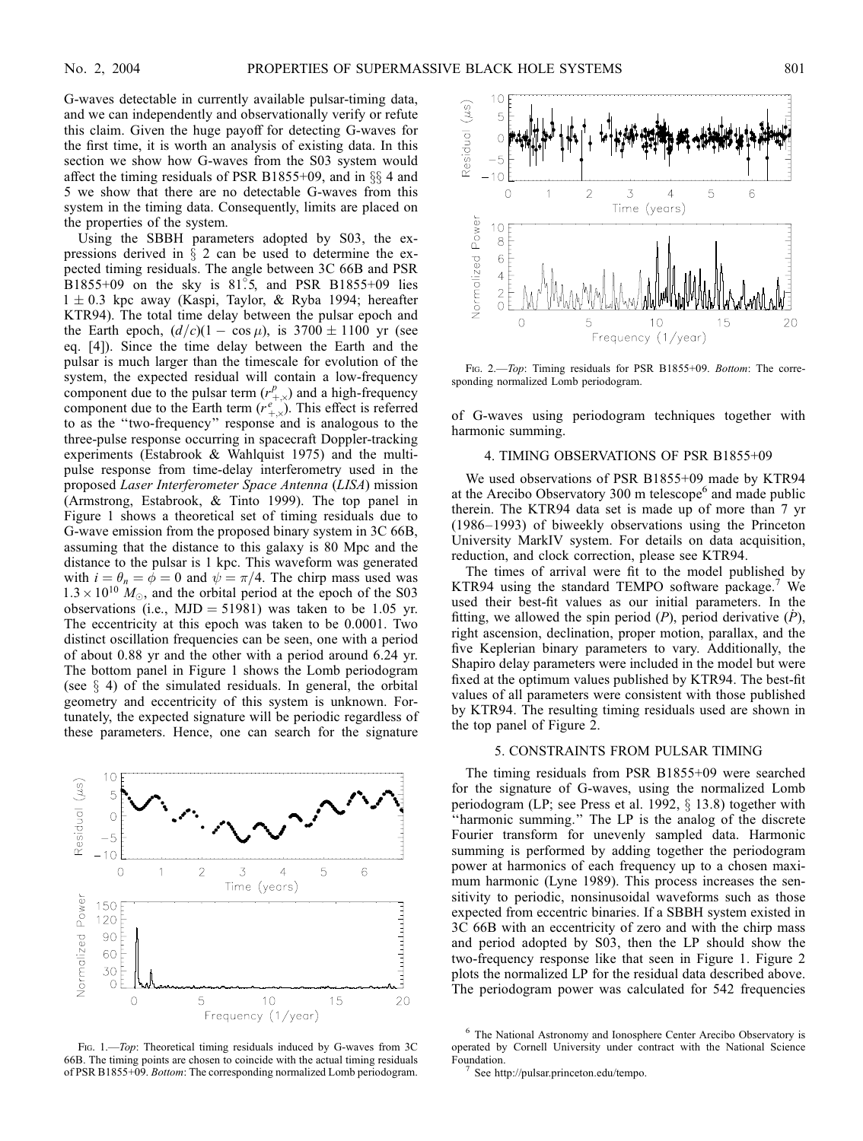G-waves detectable in currently available pulsar-timing data, and we can independently and observationally verify or refute this claim. Given the huge payoff for detecting G-waves for the first time, it is worth an analysis of existing data. In this section we show how G-waves from the S03 system would affect the timing residuals of PSR B1855+09, and in  $\S$ \$4 and 5 we show that there are no detectable G-waves from this system in the timing data. Consequently, limits are placed on the properties of the system.

Using the SBBH parameters adopted by S03, the expressions derived in  $\S$  2 can be used to determine the expected timing residuals. The angle between 3C 66B and PSR  $B1855+09$  on the sky is 81°.5, and PSR B1855+09 lies  $1 \pm 0.3$  kpc away (Kaspi, Taylor, & Ryba 1994; hereafter KTR94). The total time delay between the pulsar epoch and the Earth epoch,  $(d/c)(1 - \cos \mu)$ , is 3700  $\pm$  1100 yr (see eq. [4]). Since the time delay between the Earth and the pulsar is much larger than the timescale for evolution of the system, the expected residual will contain a low-frequency component due to the pulsar term  $(r_{+,\times}^p)$  and a high-frequency component due to the Earth term  $(r^e_{+,\times})$ . This effect is referred to as the ''two-frequency'' response and is analogous to the three-pulse response occurring in spacecraft Doppler-tracking experiments (Estabrook & Wahlquist 1975) and the multipulse response from time-delay interferometry used in the proposed Laser Interferometer Space Antenna (LISA) mission (Armstrong, Estabrook, & Tinto 1999). The top panel in Figure 1 shows a theoretical set of timing residuals due to G-wave emission from the proposed binary system in 3C 66B, assuming that the distance to this galaxy is 80 Mpc and the distance to the pulsar is 1 kpc. This waveform was generated with  $i = \theta_n = \phi = 0$  and  $\psi = \pi/4$ . The chirp mass used was  $1.3 \times 10^{10}$   $M_{\odot}$ , and the orbital period at the epoch of the S03 observations (i.e.,  $MJD = 51981$ ) was taken to be 1.05 yr. The eccentricity at this epoch was taken to be 0.0001. Two distinct oscillation frequencies can be seen, one with a period of about 0.88 yr and the other with a period around 6.24 yr. The bottom panel in Figure 1 shows the Lomb periodogram (see  $\S$  4) of the simulated residuals. In general, the orbital geometry and eccentricity of this system is unknown. Fortunately, the expected signature will be periodic regardless of these parameters. Hence, one can search for the signature



FIG. 1.-Top: Theoretical timing residuals induced by G-waves from 3C 66B. The timing points are chosen to coincide with the actual timing residuals of PSR B1855+09. Bottom: The corresponding normalized Lomb periodogram.



FIG. 2.—Top: Timing residuals for PSR B1855+09. Bottom: The corresponding normalized Lomb periodogram.

of G-waves using periodogram techniques together with harmonic summing.

## 4. TIMING OBSERVATIONS OF PSR B1855+09

We used observations of PSR B1855+09 made by KTR94 at the Arecibo Observatory 300 m telescope $<sup>6</sup>$  and made public</sup> therein. The KTR94 data set is made up of more than 7 yr (1986–1993) of biweekly observations using the Princeton University MarkIV system. For details on data acquisition, reduction, and clock correction, please see KTR94.

The times of arrival were fit to the model published by KTR94 using the standard TEMPO software package.<sup>7</sup> We used their best-fit values as our initial parameters. In the fitting, we allowed the spin period (P), period derivative  $(\dot{P})$ , right ascension, declination, proper motion, parallax, and the five Keplerian binary parameters to vary. Additionally, the Shapiro delay parameters were included in the model but were fixed at the optimum values published by KTR94. The best-fit values of all parameters were consistent with those published by KTR94. The resulting timing residuals used are shown in the top panel of Figure 2.

# 5. CONSTRAINTS FROM PULSAR TIMING

The timing residuals from PSR B1855+09 were searched for the signature of G-waves, using the normalized Lomb periodogram (LP; see Press et al. 1992,  $\S$  13.8) together with ''harmonic summing.'' The LP is the analog of the discrete Fourier transform for unevenly sampled data. Harmonic summing is performed by adding together the periodogram power at harmonics of each frequency up to a chosen maximum harmonic (Lyne 1989). This process increases the sensitivity to periodic, nonsinusoidal waveforms such as those expected from eccentric binaries. If a SBBH system existed in 3C 66B with an eccentricity of zero and with the chirp mass and period adopted by S03, then the LP should show the two-frequency response like that seen in Figure 1. Figure 2 plots the normalized LP for the residual data described above. The periodogram power was calculated for 542 frequencies

<sup>6</sup> The National Astronomy and Ionosphere Center Arecibo Observatory is operated by Cornell University under contract with the National Science

See http://pulsar.princeton.edu/tempo.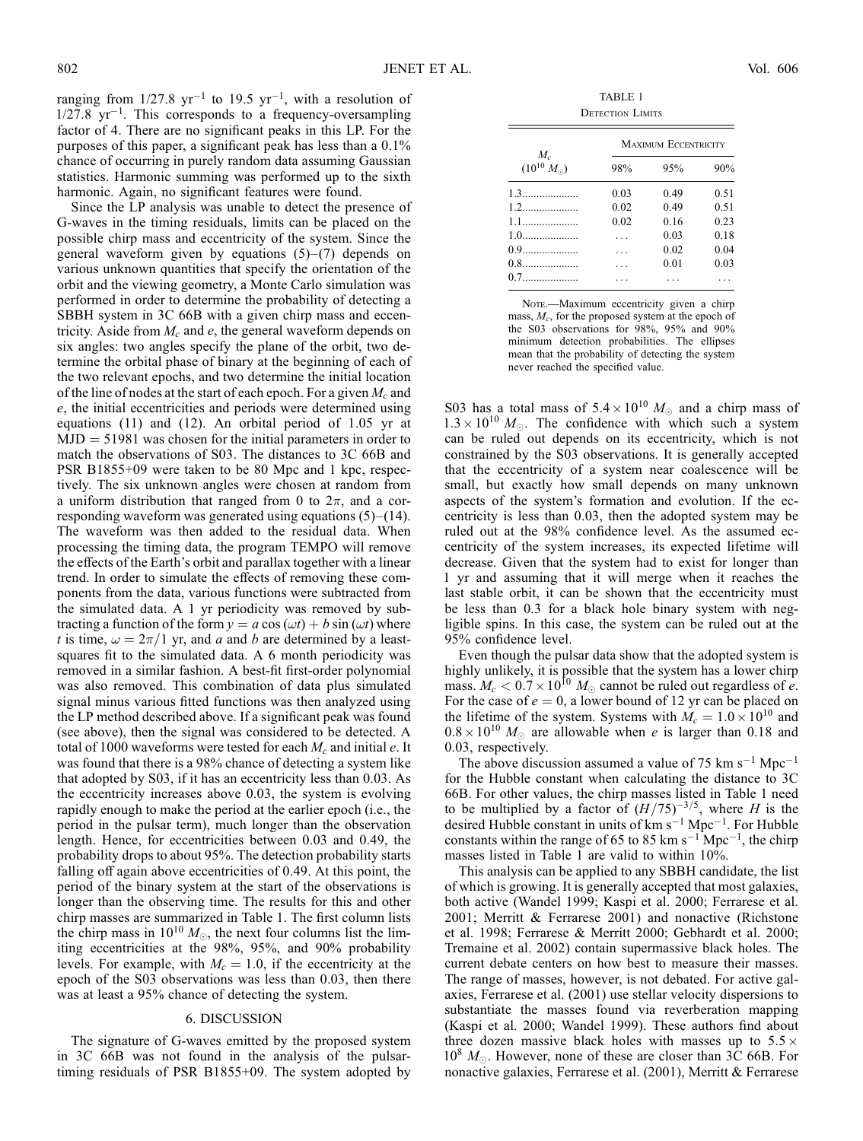ranging from  $1/27.8 \text{ yr}^{-1}$  to 19.5 yr<sup>-1</sup>, with a resolution of  $1/27.8 \text{ yr}^{-1}$ . This corresponds to a frequency-oversampling factor of 4. There are no significant peaks in this LP. For the purposes of this paper, a significant peak has less than a 0.1% chance of occurring in purely random data assuming Gaussian statistics. Harmonic summing was performed up to the sixth harmonic. Again, no significant features were found.

Since the LP analysis was unable to detect the presence of G-waves in the timing residuals, limits can be placed on the possible chirp mass and eccentricity of the system. Since the general waveform given by equations  $(5)-(7)$  depends on various unknown quantities that specify the orientation of the orbit and the viewing geometry, a Monte Carlo simulation was performed in order to determine the probability of detecting a SBBH system in 3C 66B with a given chirp mass and eccentricity. Aside from  $M_c$  and e, the general waveform depends on six angles: two angles specify the plane of the orbit, two determine the orbital phase of binary at the beginning of each of the two relevant epochs, and two determine the initial location of the line of nodes at the start of each epoch. For a given  $M_c$  and e, the initial eccentricities and periods were determined using equations (11) and (12). An orbital period of 1.05 yr at  $MJD = 51981$  was chosen for the initial parameters in order to match the observations of S03. The distances to 3C 66B and PSR B1855+09 were taken to be 80 Mpc and 1 kpc, respectively. The six unknown angles were chosen at random from a uniform distribution that ranged from 0 to  $2\pi$ , and a corresponding waveform was generated using equations (5)–(14). The waveform was then added to the residual data. When processing the timing data, the program TEMPO will remove the effects of the Earth's orbit and parallax together with a linear trend. In order to simulate the effects of removing these components from the data, various functions were subtracted from the simulated data. A 1 yr periodicity was removed by subtracting a function of the form  $y = a \cos(\omega t) + b \sin(\omega t)$  where t is time,  $\omega = 2\pi/1$  yr, and a and b are determined by a leastsquares fit to the simulated data. A 6 month periodicity was removed in a similar fashion. A best-fit first-order polynomial was also removed. This combination of data plus simulated signal minus various fitted functions was then analyzed using the LP method described above. If a significant peak was found (see above), then the signal was considered to be detected. A total of 1000 waveforms were tested for each  $M_c$  and initial e. It was found that there is a 98% chance of detecting a system like that adopted by S03, if it has an eccentricity less than 0.03. As the eccentricity increases above 0.03, the system is evolving rapidly enough to make the period at the earlier epoch (i.e., the period in the pulsar term), much longer than the observation length. Hence, for eccentricities between 0.03 and 0.49, the probability drops to about 95%. The detection probability starts falling off again above eccentricities of 0.49. At this point, the period of the binary system at the start of the observations is longer than the observing time. The results for this and other chirp masses are summarized in Table 1. The first column lists the chirp mass in  $10^{10} M_{\odot}$ , the next four columns list the limiting eccentricities at the 98%, 95%, and 90% probability levels. For example, with  $M_c = 1.0$ , if the eccentricity at the epoch of the S03 observations was less than 0.03, then there was at least a 95% chance of detecting the system.

#### 6. DISCUSSION

The signature of G-waves emitted by the proposed system in 3C 66B was not found in the analysis of the pulsartiming residuals of PSR B1855+09. The system adopted by

TABLE 1 DETECTION LIMITS

| $M_{c}$<br>$(10^{10} M_{\odot})$ | <b>MAXIMUM ECCENTRICITY</b> |      |      |
|----------------------------------|-----------------------------|------|------|
|                                  | 98%                         | 95%  | 90%  |
| 1.3                              | 0.03                        | 0.49 | 0.51 |
| 1.2                              | 0.02                        | 0.49 | 0.51 |
| 1.1                              | 0.02                        | 0.16 | 0.23 |
| $1.0$                            | $\ddotsc$                   | 0.03 | 0.18 |
| 0.9                              |                             | 0.02 | 0.04 |
| 0.8                              |                             | 0.01 | 0.03 |
| 0.7                              |                             |      |      |

Note.-Maximum eccentricity given a chirp mass,  $M_c$ , for the proposed system at the epoch of the S03 observations for 98%, 95% and 90% minimum detection probabilities. The ellipses mean that the probability of detecting the system never reached the specified value.

S03 has a total mass of  $5.4 \times 10^{10} M_{\odot}$  and a chirp mass of  $1.3 \times 10^{10}$  M<sub>o</sub>. The confidence with which such a system can be ruled out depends on its eccentricity, which is not constrained by the S03 observations. It is generally accepted that the eccentricity of a system near coalescence will be small, but exactly how small depends on many unknown aspects of the system's formation and evolution. If the eccentricity is less than 0.03, then the adopted system may be ruled out at the 98% confidence level. As the assumed eccentricity of the system increases, its expected lifetime will decrease. Given that the system had to exist for longer than 1 yr and assuming that it will merge when it reaches the last stable orbit, it can be shown that the eccentricity must be less than 0.3 for a black hole binary system with negligible spins. In this case, the system can be ruled out at the 95% confidence level.

Even though the pulsar data show that the adopted system is highly unlikely, it is possible that the system has a lower chirp mass.  $M_c < 0.7 \times 10^{10} M_{\odot}$  cannot be ruled out regardless of e. For the case of  $e = 0$ , a lower bound of 12 yr can be placed on the lifetime of the system. Systems with  $M_c = 1.0 \times 10^{10}$  and  $0.8 \times 10^{10}$  M<sub>o</sub> are allowable when e is larger than 0.18 and 0.03, respectively.

The above discussion assumed a value of 75 km  $s^{-1}$  Mpc<sup>-1</sup> for the Hubble constant when calculating the distance to 3C 66B. For other values, the chirp masses listed in Table 1 need to be multiplied by a factor of  $(H/75)^{-3/5}$ , where H is the desired Hubble constant in units of  $km s^{-1} Mpc^{-1}$ . For Hubble constants within the range of 65 to 85 km s<sup>-1</sup> Mpc<sup>-1</sup>, the chirp masses listed in Table 1 are valid to within 10%.

This analysis can be applied to any SBBH candidate, the list of which is growing. It is generally accepted that most galaxies, both active (Wandel 1999; Kaspi et al. 2000; Ferrarese et al. 2001; Merritt & Ferrarese 2001) and nonactive (Richstone et al. 1998; Ferrarese & Merritt 2000; Gebhardt et al. 2000; Tremaine et al. 2002) contain supermassive black holes. The current debate centers on how best to measure their masses. The range of masses, however, is not debated. For active galaxies, Ferrarese et al. (2001) use stellar velocity dispersions to substantiate the masses found via reverberation mapping (Kaspi et al. 2000; Wandel 1999). These authors find about three dozen massive black holes with masses up to  $5.5 \times$  $10^8$   $M_{\odot}$ . However, none of these are closer than 3C 66B. For nonactive galaxies, Ferrarese et al. (2001), Merritt & Ferrarese